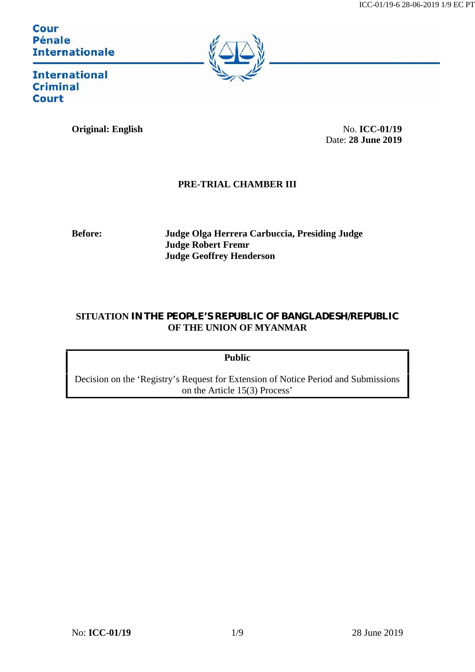Cour **Pénale Internationale** 



**International Criminal Court** 

**Original: English** No. **ICC-01/19** 

Date: **28 June 2019**

# **PRE-TRIAL CHAMBER III**

**Before: Judge Olga Herrera Carbuccia, Presiding Judge Judge Robert Fremr Judge Geoffrey Henderson**

## **SITUATION IN THE PEOPLE'S REPUBLIC OF BANGLADESH/REPUBLIC OF THE UNION OF MYANMAR**

**Public**

Decision on the 'Registry's Request for Extension of Notice Period and Submissions on the Article 15(3) Process'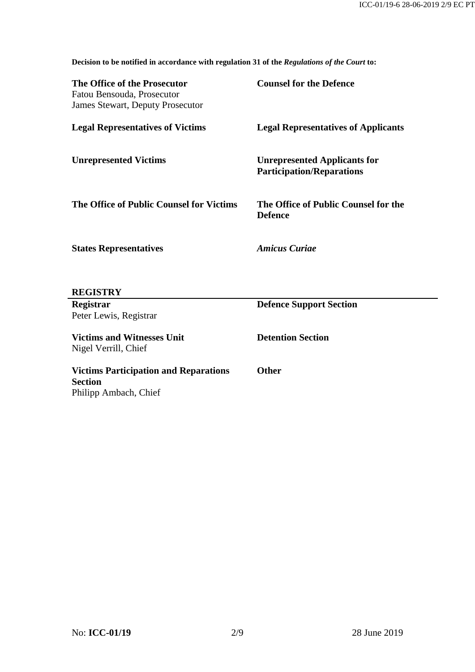$\mathcal{L}$ 

**Decision to be notified in accordance with regulation 31 of the** *Regulations of the Court* **to:**

| The Office of the Prosecutor<br>Fatou Bensouda, Prosecutor<br><b>James Stewart, Deputy Prosecutor</b> | <b>Counsel for the Defence</b>                                          |
|-------------------------------------------------------------------------------------------------------|-------------------------------------------------------------------------|
| <b>Legal Representatives of Victims</b>                                                               | <b>Legal Representatives of Applicants</b>                              |
| <b>Unrepresented Victims</b>                                                                          | <b>Unrepresented Applicants for</b><br><b>Participation/Reparations</b> |
| The Office of Public Counsel for Victims                                                              | The Office of Public Counsel for the<br><b>Defence</b>                  |
| <b>States Representatives</b>                                                                         | <b>Amicus Curiae</b>                                                    |
| <b>REGISTRY</b>                                                                                       |                                                                         |
| Registrar                                                                                             | <b>Defence Support Section</b>                                          |
| Peter Lewis, Registrar                                                                                |                                                                         |
| <b>Victims and Witnesses Unit</b><br>Nigel Verrill, Chief                                             | <b>Detention Section</b>                                                |
| <b>Victims Participation and Reparations</b><br><b>Section</b>                                        | <b>Other</b>                                                            |

Philipp Ambach, Chief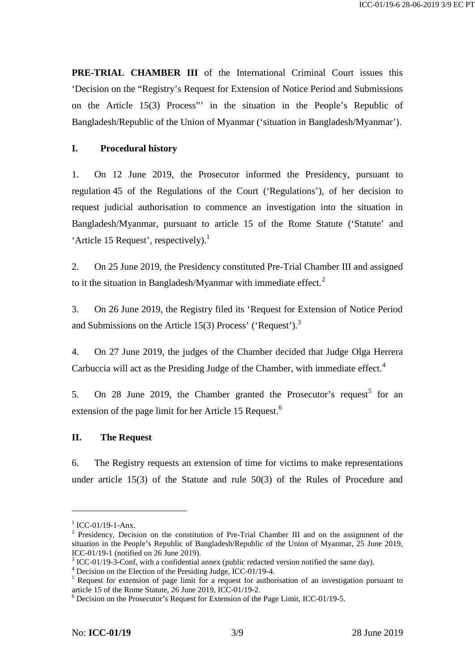**PRE-TRIAL CHAMBER III** of the International Criminal Court issues this 'Decision on the "Registry's Request for Extension of Notice Period and Submissions on the Article 15(3) Process"' in the situation in the People's Republic of Bangladesh/Republic of the Union of Myanmar ('situation in Bangladesh/Myanmar').

### **I. Procedural history**

1. On 12 June 2019, the Prosecutor informed the Presidency, pursuant to regulation 45 of the Regulations of the Court ('Regulations'), of her decision to request judicial authorisation to commence an investigation into the situation in Bangladesh/Myanmar, pursuant to article 15 of the Rome Statute ('Statute' and 'Article 15 Request', respectively).<sup>1</sup>

2. On 25 June 2019, the Presidency constituted Pre-Trial Chamber III and assigned to it the situation in Bangladesh/Myanmar with immediate effect.<sup>2</sup>

3. On 26 June 2019, the Registry filed its 'Request for Extension of Notice Period and Submissions on the Article 15(3) Process' ('Request').<sup>3</sup>

4. On 27 June 2019, the judges of the Chamber decided that Judge Olga Herrera Carbuccia will act as the Presiding Judge of the Chamber, with immediate effect.<sup>4</sup>

5. On 28 June 2019, the Chamber granted the Prosecutor's request<sup>5</sup> for an extension of the page limit for her Article 15 Request.<sup>6</sup>

#### **II. The Request**

6. The Registry requests an extension of time for victims to make representations under article 15(3) of the Statute and rule 50(3) of the Rules of Procedure and

<sup>&</sup>lt;sup>1</sup> ICC-01/19-1-Anx.<br><sup>2</sup> Presidency, Decision on the constitution of Pre-Trial Chamber III and on the assignment of the situation in the People's Republic of Bangladesh/Republic of the Union of Myanmar, 25 June 2019,

ICC-01/19-1 (notified on 26 June 2019).<br>
<sup>3</sup> ICC-01/19-3-Conf, with a confidential annex (public redacted version notified the same day).<br>
<sup>4</sup> Decision on the Election of the Presiding Judge, ICC-01/19-4.<br>
<sup>5</sup> Request for

 $6$  Decision on the Prosecutor's Request for Extension of the Page Limit, ICC-01/19-5.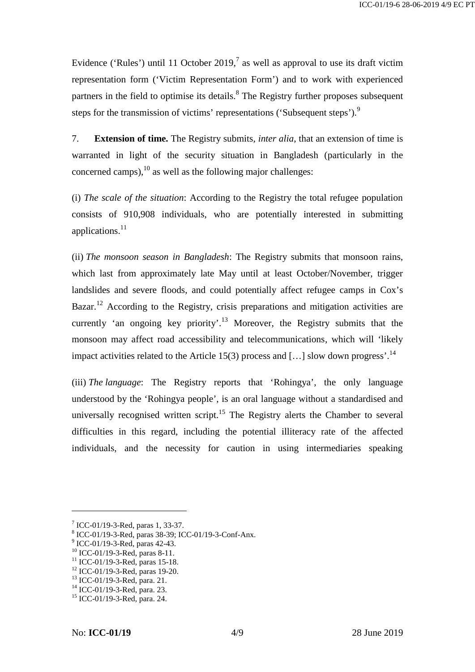Evidence ('Rules') until 11 October 2019,<sup>7</sup> as well as approval to use its draft victim representation form ('Victim Representation Form') and to work with experienced partners in the field to optimise its details.<sup>8</sup> The Registry further proposes subsequent steps for the transmission of victims' representations ('Subsequent steps').<sup>9</sup>

7. **Extension of time.** The Registry submits, *inter alia*, that an extension of time is warranted in light of the security situation in Bangladesh (particularly in the concerned camps),  $10$  as well as the following major challenges:

(i) *The scale of the situation*: According to the Registry the total refugee population consists of 910,908 individuals, who are potentially interested in submitting applications. $^{11}$ 

(ii) *The monsoon season in Bangladesh*: The Registry submits that monsoon rains, which last from approximately late May until at least October/November, trigger landslides and severe floods, and could potentially affect refugee camps in Cox's Bazar.<sup>12</sup> According to the Registry, crisis preparations and mitigation activities are currently 'an ongoing key priority'.<sup>13</sup> Moreover, the Registry submits that the monsoon may affect road accessibility and telecommunications, which will 'likely impact activities related to the Article 15(3) process and [...] slow down progress'.<sup>14</sup>

(iii) *The language*: The Registry reports that 'Rohingya', the only language understood by the 'Rohingya people', is an oral language without a standardised and universally recognised written script.<sup>15</sup> The Registry alerts the Chamber to several difficulties in this regard, including the potential illiteracy rate of the affected individuals, and the necessity for caution in using intermediaries speaking

<sup>&</sup>lt;sup>7</sup> ICC-01/19-3-Red, paras 1, 33-37.<br>
<sup>8</sup> ICC-01/19-3-Red, paras 38-39; ICC-01/19-3-Conf-Anx.<br>
<sup>9</sup> ICC-01/19-3-Red, paras 42-43.<br>
<sup>10</sup> ICC-01/19-3-Red, paras 8-11.<br>
<sup>11</sup> ICC-01/19-3-Red, paras 15-18.<br>
<sup>12</sup> ICC-01/19-3-Red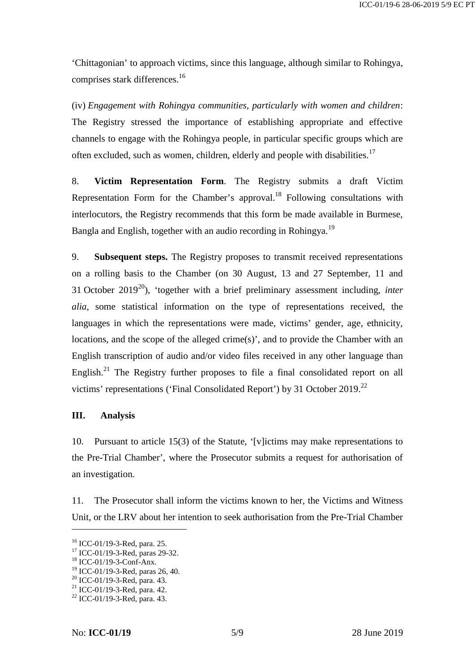'Chittagonian' to approach victims, since this language, although similar to Rohingya, comprises stark differences.<sup>16</sup>

(iv) *Engagement with Rohingya communities, particularly with women and children*: The Registry stressed the importance of establishing appropriate and effective channels to engage with the Rohingya people, in particular specific groups which are often excluded, such as women, children, elderly and people with disabilities.<sup>17</sup>

8. **Victim Representation Form**. The Registry submits a draft Victim Representation Form for the Chamber's approval.<sup>18</sup> Following consultations with interlocutors, the Registry recommends that this form be made available in Burmese, Bangla and English, together with an audio recording in Rohingya.<sup>19</sup>

9. **Subsequent steps.** The Registry proposes to transmit received representations on a rolling basis to the Chamber (on 30 August, 13 and 27 September, 11 and 31 October 2019<sup>20</sup>), 'together with a brief preliminary assessment including, *inter alia*, some statistical information on the type of representations received, the languages in which the representations were made, victims' gender, age, ethnicity, locations, and the scope of the alleged crime(s)', and to provide the Chamber with an English transcription of audio and/or video files received in any other language than English.<sup>21</sup> The Registry further proposes to file a final consolidated report on all victims' representations ('Final Consolidated Report') by 31 October 2019.<sup>22</sup>

#### **III. Analysis**

10. Pursuant to article 15(3) of the Statute, '[v]ictims may make representations to the Pre-Trial Chamber', where the Prosecutor submits a request for authorisation of an investigation.

11. The Prosecutor shall inform the victims known to her, the Victims and Witness Unit, or the LRV about her intention to seek authorisation from the Pre-Trial Chamber

<sup>&</sup>lt;sup>16</sup> ICC-01/19-3-Red, para. 25.<br><sup>17</sup> ICC-01/19-3-Red, paras 29-32.<br><sup>18</sup> ICC-01/19-3-Conf-Anx.<br><sup>19</sup> ICC-01/19-3-Red, para. 43.<br><sup>20</sup> ICC-01/19-3-Red, para. 42.<br><sup>21</sup> ICC-01/19-3-Red, para. 43.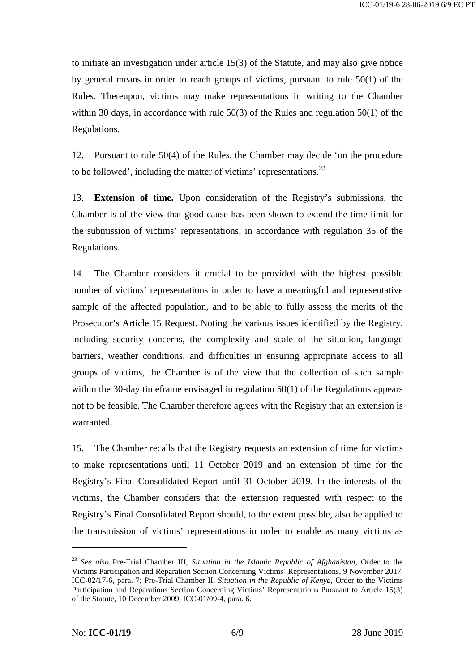to initiate an investigation under article 15(3) of the Statute, and may also give notice by general means in order to reach groups of victims, pursuant to rule 50(1) of the Rules. Thereupon, victims may make representations in writing to the Chamber within 30 days, in accordance with rule 50(3) of the Rules and regulation 50(1) of the Regulations.

12. Pursuant to rule 50(4) of the Rules, the Chamber may decide 'on the procedure to be followed', including the matter of victims' representations. $^{23}$ 

13. **Extension of time.** Upon consideration of the Registry's submissions, the Chamber is of the view that good cause has been shown to extend the time limit for the submission of victims' representations, in accordance with regulation 35 of the Regulations.

14. The Chamber considers it crucial to be provided with the highest possible number of victims' representations in order to have a meaningful and representative sample of the affected population, and to be able to fully assess the merits of the Prosecutor's Article 15 Request. Noting the various issues identified by the Registry, including security concerns, the complexity and scale of the situation, language barriers, weather conditions, and difficulties in ensuring appropriate access to all groups of victims, the Chamber is of the view that the collection of such sample within the 30-day timeframe envisaged in regulation 50(1) of the Regulations appears not to be feasible. The Chamber therefore agrees with the Registry that an extension is warranted.

15. The Chamber recalls that the Registry requests an extension of time for victims to make representations until 11 October 2019 and an extension of time for the Registry's Final Consolidated Report until 31 October 2019. In the interests of the victims, the Chamber considers that the extension requested with respect to the Registry's Final Consolidated Report should, to the extent possible, also be applied to the transmission of victims' representations in order to enable as many victims as

<sup>23</sup> *See also* Pre-Trial Chamber III, *Situation in the Islamic Republic of Afghanistan*, Order to the Victims Participation and Reparation Section Concerning Victims' Representations, 9 November 2017, ICC-02/17-6, para. 7; Pre-Trial Chamber II, *Situation in the Republic of Kenya*, Order to the Victims Participation and Reparations Section Concerning Victims' Representations Pursuant to Article 15(3) of the Statute, 10 December 2009, ICC-01/09-4, para. 6.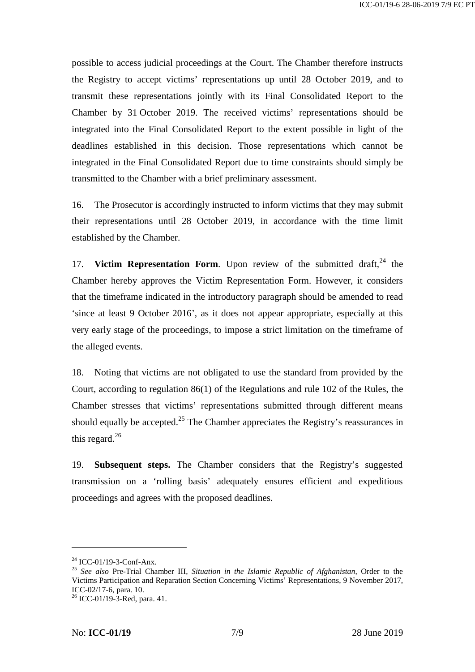possible to access judicial proceedings at the Court. The Chamber therefore instructs the Registry to accept victims' representations up until 28 October 2019, and to transmit these representations jointly with its Final Consolidated Report to the Chamber by 31 October 2019. The received victims' representations should be integrated into the Final Consolidated Report to the extent possible in light of the deadlines established in this decision. Those representations which cannot be integrated in the Final Consolidated Report due to time constraints should simply be transmitted to the Chamber with a brief preliminary assessment.

16. The Prosecutor is accordingly instructed to inform victims that they may submit their representations until 28 October 2019, in accordance with the time limit established by the Chamber.

17. **Victim Representation Form**. Upon review of the submitted draft,  $24$  the Chamber hereby approves the Victim Representation Form. However, it considers that the timeframe indicated in the introductory paragraph should be amended to read 'since at least 9 October 2016', as it does not appear appropriate, especially at this very early stage of the proceedings, to impose a strict limitation on the timeframe of the alleged events.

18. Noting that victims are not obligated to use the standard from provided by the Court, according to regulation 86(1) of the Regulations and rule 102 of the Rules, the Chamber stresses that victims' representations submitted through different means should equally be accepted.<sup>25</sup> The Chamber appreciates the Registry's reassurances in this regard. $^{26}$ 

19. **Subsequent steps.** The Chamber considers that the Registry's suggested transmission on a 'rolling basis' adequately ensures efficient and expeditious proceedings and agrees with the proposed deadlines.

<sup>24</sup> ICC-01/19-3-Conf-Anx. <sup>25</sup> *See also* Pre-Trial Chamber III, *Situation in the Islamic Republic of Afghanistan*, Order to the Victims Participation and Reparation Section Concerning Victims' Representations, 9 November 2017,  $^{26}$  ICC-01/19-3-Red, para. 41.

No: **ICC-01/19** 7/9 28 June 2019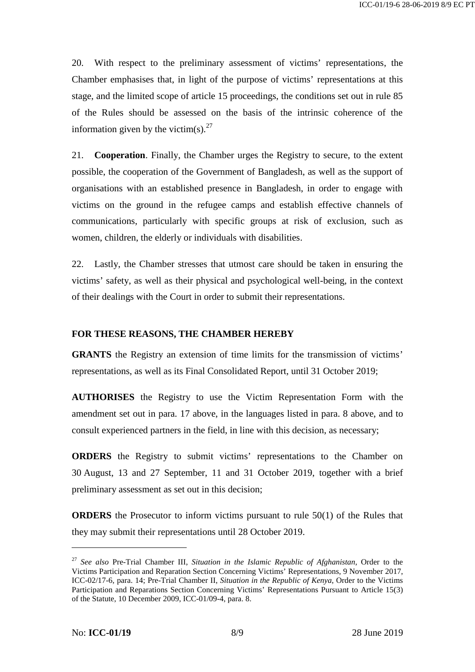20. With respect to the preliminary assessment of victims' representations, the Chamber emphasises that, in light of the purpose of victims' representations at this stage, and the limited scope of article 15 proceedings, the conditions set out in rule 85 of the Rules should be assessed on the basis of the intrinsic coherence of the information given by the victim(s). $^{27}$ 

21. **Cooperation**. Finally, the Chamber urges the Registry to secure, to the extent possible, the cooperation of the Government of Bangladesh, as well as the support of organisations with an established presence in Bangladesh, in order to engage with victims on the ground in the refugee camps and establish effective channels of communications, particularly with specific groups at risk of exclusion, such as women, children, the elderly or individuals with disabilities.

22. Lastly, the Chamber stresses that utmost care should be taken in ensuring the victims' safety, as well as their physical and psychological well-being, in the context of their dealings with the Court in order to submit their representations.

#### **FOR THESE REASONS, THE CHAMBER HEREBY**

**GRANTS** the Registry an extension of time limits for the transmission of victims' representations, as well as its Final Consolidated Report, until 31 October 2019;

**AUTHORISES** the Registry to use the Victim Representation Form with the amendment set out in para. 17 above, in the languages listed in para. 8 above, and to consult experienced partners in the field, in line with this decision, as necessary;

**ORDERS** the Registry to submit victims' representations to the Chamber on 30 August, 13 and 27 September, 11 and 31 October 2019, together with a brief preliminary assessment as set out in this decision;

**ORDERS** the Prosecutor to inform victims pursuant to rule 50(1) of the Rules that they may submit their representations until 28 October 2019.

<sup>27</sup> *See also* Pre-Trial Chamber III, *Situation in the Islamic Republic of Afghanistan*, Order to the Victims Participation and Reparation Section Concerning Victims' Representations, 9 November 2017, ICC-02/17-6, para. 14; Pre-Trial Chamber II, *Situation in the Republic of Kenya*, Order to the Victims Participation and Reparations Section Concerning Victims' Representations Pursuant to Article 15(3) of the Statute, 10 December 2009, ICC-01/09-4, para. 8.